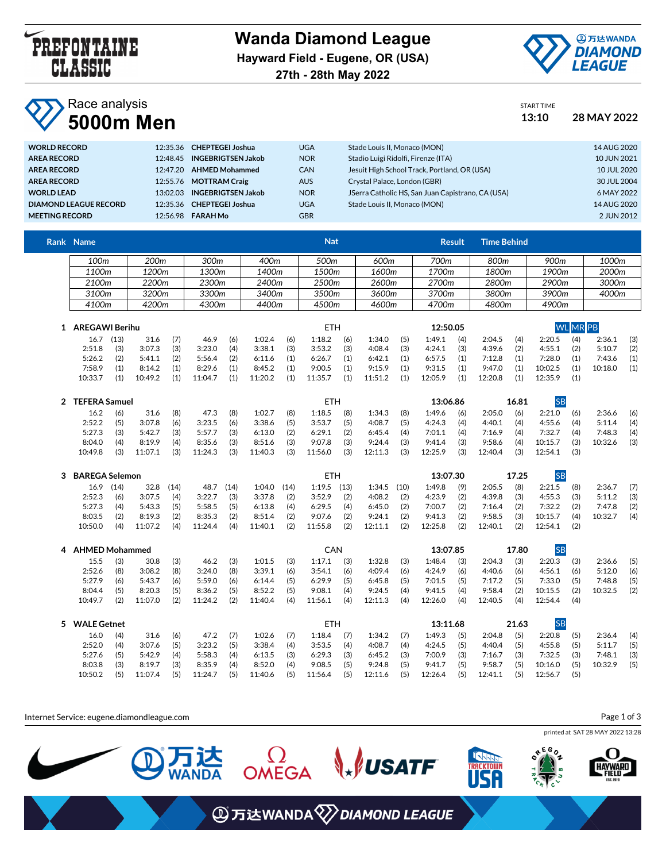

**Wanda Diamond League Hayward Field - Eugene, OR (USA) 27th - 28th May 2022**



## **Race analysis 5000m Men 13:10 28 MAY 2022**

**WORLD RECORD** 12:35.36 **CHEPTEGEI Joshua** UGA

|                                     | START TIME<br>13:10 | 28 MAY 2022 |
|-------------------------------------|---------------------|-------------|
| Stade Louis II, Monaco (MON)        |                     | 14 AUG 2020 |
| Stadio Luigi Ridolfi, Firenze (ITA) |                     | 10 JUN 2021 |

| AREA RECORD           | 12:48.45 | <b>INGEBRIGTSEN Jakob</b> | <b>NOR</b> | Stadio Luigi Ridolfi, Firenze (ITA)               | 10 JUN 2021 |
|-----------------------|----------|---------------------------|------------|---------------------------------------------------|-------------|
| AREA RECORD           | 12:47.20 | <b>AHMED Mohammed</b>     | <b>CAN</b> | Jesuit High School Track, Portland, OR (USA)      | 10 JUL 2020 |
| AREA RECORD           | 12:55.76 | <b>MOTTRAM Craig</b>      | <b>AUS</b> | Crystal Palace, London (GBR)                      | 30 JUL 2004 |
| <b>WORLD LEAD</b>     | 13.0203  | <b>INGEBRIGTSEN Jakob</b> | <b>NOR</b> | JSerra Catholic HS, San Juan Capistrano, CA (USA) | 6 MAY 2022  |
| DIAMOND LEAGUE RECORD |          | 12:35.36 CHEPTEGEI Joshua | <b>UGA</b> | Stade Louis II, Monaco (MON)                      | 14 AUG 2020 |
| MEETING RECORD        | 12:56.98 | <b>FARAH Mo</b>           | <b>GBR</b> |                                                   | 2 JUN 2012  |
|                       |          |                           |            |                                                   |             |

| Rank Name |                  |       |       | <b>Nat</b> |       | <b>Result</b> | <b>Time Behind</b> |       |       |
|-----------|------------------|-------|-------|------------|-------|---------------|--------------------|-------|-------|
| 100m      | 200 <sub>m</sub> | 300m  | 400m  | 500m       | 600m  | 700m          | 800m               | 900m  | 1000m |
| 1100m     | 1200m            | 1300m | 1400m | 1500m      | 1600m | 1700m         | 1800m              | 1900m | 2000m |
| 2100m     | ?200m            | 2300m | 2400m | 2500m      | 2600m | 2700m         | 2800m              | 2900m | 3000m |
| 3100m     | 3200m            | 3300m | 3400m | 3500m      | 3600m | 3700m         | 3800m              | 3900m | 4000m |
| 4100m     | 4200m            | 4300m | 4400m | 4500m      | 4600m | 4700m         | 4800m              | 4900m |       |

| AREGAWI Berihu |      |         |     |         |     |         |     | ETH     |     |         |     | 12:50.05 |     |         |     | WI      | LIMRIPB. |         |     |
|----------------|------|---------|-----|---------|-----|---------|-----|---------|-----|---------|-----|----------|-----|---------|-----|---------|----------|---------|-----|
| 16.7           | (13) | 31.6    | (7) | 46.9    | (6) | 1:02.4  | (6) | 1:18.2  | (6) | 1:34.0  | (5) | 1:49.1   | (4) | 2:04.5  | (4) | 2:20.5  | (4)      | 2:36.1  | (3) |
| 2:51.8         | (3)  | 3:07.3  | (3) | 3:23.0  | (4) | 3:38.1  | (3) | 3:53.2  | (3) | 4:08.4  | (3) | 4:24.1   | (3) | 4:39.6  | (2) | 4:55.1  | (2)      | 5:10.7  | (2) |
| 5:26.2         | (2)  | 5:41.1  | (2) | 5:56.4  | (2) | 6:11.6  | (1) | 6:26.7  | (1) | 6:42.1  | (1) | 6:57.5   | (1) | 7:12.8  | (1) | 7:28.0  | (1)      | 7:43.6  | (1) |
| 7:58.9         |      | 8:14.2  | (1) | 8:29.6  | (1) | 8:45.2  | (1) | 9:00.5  | (1) | 9:15.9  | (1) | 9:31.5   | (1) | 9:47.0  | (1) | 10:02.5 | (1)      | 10:18.0 | (1) |
| 10:33.7        |      | 10:49.2 | (1) | 11:04.7 | (1) | 11:20.2 | (1) | 11:35.7 | (1) | 11:51.2 | (1) | 12:05.9  | (1) | 12:20.8 | (1) | 12:35.9 | (1)      |         |     |

|         | <b>TEFERA Samuel</b> |         |     |         |     |         |     | ETH     |     |         |     | 13:06.86 |     |         | 16.81 |         |     |         |     |
|---------|----------------------|---------|-----|---------|-----|---------|-----|---------|-----|---------|-----|----------|-----|---------|-------|---------|-----|---------|-----|
| 16.2    | (6)                  | 31.6    | (8) | 47.3    | (8) | 1:02.7  | (8) | 1:18.5  | (8) | 1:34.3  | (8) | 1:49.6   | (6) | 2:05.0  | (6)   | 2:21.0  | (6) | 2:36.6  | (6) |
| 2:52.2  | (5)                  | 3:07.8  | (6) | 3:23.5  | (6) | 3:38.6  | (5) | 3:53.7  | (5) | 4:08.7  | (5) | 4:24.3   | (4) | 4:40.1  | (4)   | 4:55.6  | (4) | 5:11.4  | (4) |
| 5:27.3  | (3)                  | 5:42.7  | (3) | 5:57.7  | (3) | 6:13.0  | (2) | 6:29.1  | (2) | 6:45.4  | (4) | 7:01.1   | (4) | 7:16.9  | (4)   | 7:32.7  | (4) | 7:48.3  | (4) |
| 8:04.0  | (4)                  | 8:19.9  | (4) | 8:35.6  | (3) | 8:51.6  | (3) | 9:07.8  | (3) | 9:24.4  | (3) | 9:41.4   | (3) | 9:58.6  | (4)   | 10:15.7 | (3) | 10:32.6 | (3) |
| 10:49.8 | (3)                  | 11:07.1 | (3) | 11:24.3 | (3) | 11:40.3 | (3) | 11:56.0 | (3) | 12:11.3 | (3) | 12:25.9  | (3) | 12:40.4 | (3)   | 12:54.1 | (3) |         |     |

| <b>BAREGA Selemon</b> |      |         |      |         |      |         |      | ETH     |      |         |      | 13:07.30 |     |         | 17.25 |         |     |         |     |
|-----------------------|------|---------|------|---------|------|---------|------|---------|------|---------|------|----------|-----|---------|-------|---------|-----|---------|-----|
| 16.9                  | (14) | 32.8    | (14) | 48.7    | (14) | 1:04.0  | (14) | 1:19.5  | (13) | 1:34.5  | (10) | 1:49.8   | (9) | 2:05.5  | (8)   | 2:21.5  | (8) | 2:36.7  | (7) |
| 2:52.3                | (6)  | 3:07.5  | (4)  | 3:22.7  | (3)  | 3:37.8  | (2)  | 3:52.9  | (2)  | 4:08.2  | (2)  | 4:23.9   | (2) | 4:39.8  | (3)   | 4:55.3  | (3) | 5:11.2  | (3) |
| 5:27.3                | (4)  | 5:43.3  | (5)  | 5:58.5  | (5)  | 6:13.8  | (4)  | 6:29.5  | (4)  | 6:45.0  | (2)  | 7:00.7   | (2) | 7:16.4  | (2)   | 7:32.2  | (2) | 7:47.8  | (2) |
| 8:03.5                | (2)  | 8:19.3  | (2)  | 8:35.3  | (2)  | 8:51.4  | (2)  | 9:07.6  | (2)  | 9:24.1  | (2)  | 9:41.3   | (2) | 9:58.5  | (3)   | 10:15.7 | (4) | 10:32.7 | (4) |
| 10:50.0               | (4)  | 11:07.2 | (4)  | 11:24.4 | (4)  | 11:40.1 | (2)  | 11:55.8 | (2)  | 12:11.1 | (2)  | 12:25.8  | (2) | 12:40.1 | (2)   | 12:54.1 | (2) |         |     |

| 4         | <b>AHMED Mohammed</b> |         |     |         |     |         |     | CAN     |     |         |     | 13:07.85 |     |         | 17.80         | <b>SB</b>     |     |         |     |
|-----------|-----------------------|---------|-----|---------|-----|---------|-----|---------|-----|---------|-----|----------|-----|---------|---------------|---------------|-----|---------|-----|
|           | 15.5<br>(3)           | 30.8    | (3) | 46.2    | (3) | 1:01.5  | (3) | 1:17.1  | (3) | 1:32.8  | (3) | 1:48.4   | (3) | 2:04.3  | (3)           | 2:20.3        | (3) | 2:36.6  | (5) |
|           | 2:52.6<br>(8)         | 3:08.2  | (8) | 3:24.0  | (8) | 3:39.1  | (6) | 3:54.1  | (6) | 4:09.4  | (6) | 4:24.9   | (6) | 4:40.6  | (6)           | 4:56.1        | (6) | 5:12.0  | (6) |
|           | 5:27.9<br>(6)         | 5:43.7  | (6) | 5:59.0  | (6) | 6:14.4  | (5) | 6:29.9  | (5) | 6:45.8  | (5) | 7:01.5   | (5) | 7:17.2  | (5)           | 7:33.0        | (5) | 7:48.8  | (5) |
|           | (5)<br>8:04.4         | 8:20.3  | (5) | 8:36.2  | (5) | 8:52.2  | (5) | 9:08.1  | (4) | 9:24.5  | (4) | 9:41.5   | (4) | 9:58.4  | (2)           | 10:15.5       | (2) | 10:32.5 | (2) |
| 10:49.7   | (2)                   | 11:07.0 | (2) | 11:24.2 | (2) | 11:40.4 | (4) | 11:56.1 | (4) | 12:11.3 | (4) | 12:26.0  | (4) | 12:40.5 | (4)           | 12:54.4       | (4) |         |     |
| - ``````` |                       |         |     |         |     |         |     | ----    |     |         |     | 101110   |     |         | $\sim$ $\sim$ | $\sim$ $\sim$ |     |         |     |

| <b>WALE Getnet</b> |     |         |     |         |     |         |     | ETH           |     |              |     | 13:11.68     |     |              | 21.63 |         |     |              |     |
|--------------------|-----|---------|-----|---------|-----|---------|-----|---------------|-----|--------------|-----|--------------|-----|--------------|-------|---------|-----|--------------|-----|
| 16.0               | (4) | 31.6    | (6) | 47.2    | (7) | 1:02.6  | (7) | $1:18.4$ (7)  |     | $1:34.2$ (7) |     | $1:49.3$ (5) |     | 2:04.8       | (5)   | 2:20.8  | (5) | 2:36.4       | (4) |
| 2:52.0             |     | 3:07.6  | (5) | 3:23.2  | (5) | 3:38.4  | (4) | $3:53.5$ (4)  |     | 4:08.7       | (4) | $4:24.5$ (5) |     | $4:40.4$ (5) |       | 4:55.8  | (5) | $5:11.7$ (5) |     |
| 5:27.6             | (5) | 5:42.9  | (4) | 5:58.3  | (4) | 6:13.5  | (3) | 6:29.3        | (3) | $6:45.2$ (3) |     | 7:00.9       | (3) | 7:16.7 (3)   |       | 7:32.5  | (3) | 7:48.1       | (3) |
| 8:03.8             |     | 8:19.7  | (3) | 8:35.9  | (4) | 8:52.0  | (4) | 9:08.5        | (5) | $9:24.8$ (5) |     | $9:41.7$ (5) |     | 9:58.7       | (5)   | 10:16.0 | (5) | 10:32.9      | (5) |
| 10:50.2            | (5) | 11:07.4 | (5) | 11:24.7 | (5) | 11:40.6 | (5) | $11:56.4$ (5) |     | 12:11.6      | (5) | 12:26.4      | (5) | 12:41.1      | (5)   | 12:56.7 | (5) |              |     |

Internet Service: eugene.diamondleague.com Page 1 of 3printed at SAT 28 MAY 2022 13:28 REGO<sub>Z</sub> OMEGA  $\mathcal{L}$  USATF I **达**<br>NDA **TRACKTOWN HAYWARD ④万达WANDA 2>DIAMOND LEAGUE**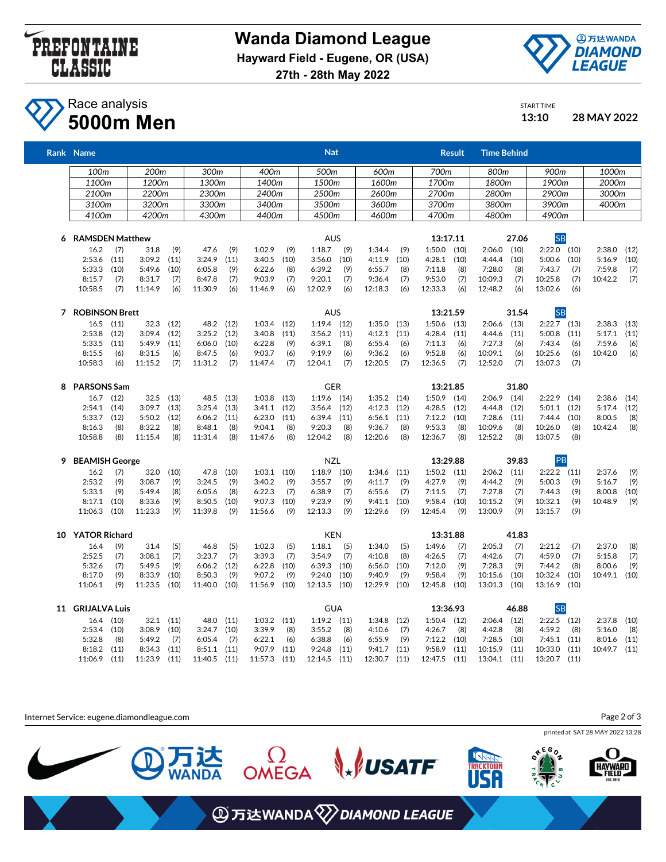



## **Race analysis 5000m Men 13:10 28 MAY 2022**

| 13:10      | 28 MAY |
|------------|--------|
| START TIME |        |
|            |        |

|   | Rank Name              |      |                  |      |           |      |                 |      | <b>Nat</b>       |      |         |      |                 | <b>Result</b> | <b>Time Behind</b> |       |               |      |              |      |
|---|------------------------|------|------------------|------|-----------|------|-----------------|------|------------------|------|---------|------|-----------------|---------------|--------------------|-------|---------------|------|--------------|------|
|   | 100 <sub>m</sub>       |      | 200 <sub>m</sub> |      | 300m      |      | 400m            |      | 500 <sub>m</sub> |      | 600m    |      | 700m            |               | 800m               |       | 900m          |      | 1000m        |      |
|   | 1100m                  |      | 1200m            |      | 1300m     |      | 1400m           |      | 1500m            |      | 1600m   |      | 1700m           |               | 1800m              |       | 1900m         |      | 2000m        |      |
|   | 2100m                  |      | 2200m            |      | 2300m     |      | 2400m           |      | 2500m            |      | 2600m   |      | 2700m           |               | 2800m              |       | 2900m         |      | 3000m        |      |
|   |                        |      | 3200m            |      | 3300m     |      | 3400m           |      | 3500m            |      | 3600m   |      | 3700m           |               | 3800m              |       | 3900m         |      | 4000m        |      |
|   | 3100m                  |      |                  |      |           |      |                 |      |                  |      |         |      |                 |               |                    |       |               |      |              |      |
|   | 4100m                  |      | 4200m            |      | 4300m     |      | 4400m           |      | 4500m            |      | 4600m   |      | 4700m           |               | 4800m              |       | 4900m         |      |              |      |
| 6 | <b>RAMSDEN Matthew</b> |      |                  |      |           |      |                 |      | <b>AUS</b>       |      |         |      |                 | 13:17.11      |                    | 27.06 | <b>SB</b>     |      |              |      |
|   | 16.2                   | (7)  | 31.8             | (9)  | 47.6      | (9)  | 1:02.9          | (9)  | 1:18.7           | (9)  | 1:34.4  | (9)  | $1:50.0$ (10)   |               | 2:06.0             | (10)  | $2:22.0$ (10) |      | 2:38.0       | (12) |
|   | 2:53.6                 | (11) | 3:09.2           | (11) | 3:24.9    | (11) | 3:40.5          | (10) | 3:56.0           | (10) | 4:11.9  | (10) | 4:28.1          | (10)          | 4:44.4             | (10)  | 5:00.6        | (10) | 5:16.9       | (10) |
|   | 5:33.3                 | (10) | 5:49.6           | (10) | 6:05.8    | (9)  | 6:22.6          | (8)  | 6:39.2           | (9)  | 6:55.7  | (8)  | 7:11.8          | (8)           | 7:28.0             | (8)   | 7:43.7        | (7)  | 7:59.8       | (7)  |
|   | 8:15.7                 | (7)  | 8:31.7           | (7)  | 8:47.8    | (7)  | 9:03.9          | (7)  | 9:20.1           | (7)  | 9:36.4  | (7)  | 9:53.0          | (7)           | 10:09.3            | (7)   | 10:25.8       | (7)  | 10:42.2      | (7)  |
|   | 10:58.5                | (7)  | 11:14.9          | (6)  | 11:30.9   | (6)  | 11:46.9         | (6)  | 12:02.9          | (6)  | 12:18.3 | (6)  | 12:33.3         | (6)           | 12:48.2            | (6)   | 13:02.6       | (6)  |              |      |
| 7 | <b>ROBINSON Brett</b>  |      |                  |      |           |      |                 |      | <b>AUS</b>       |      |         |      |                 | 13:21.59      |                    | 31.54 | <b>SB</b>     |      |              |      |
|   | 16.5                   | (11) | 32.3             | (12) | 48.2 (12) |      | 1:03.4          | (12) | $1:19.4$ (12)    |      | 1:35.0  | (13) | 1:50.6          | (13)          | $2:06.6$ (13)      |       | $2:22.7$ (13) |      | 2:38.3       | (13) |
|   | 2:53.8                 | (12) | 3:09.4           | (12) | 3:25.2    | (12) | 3:40.8          | (11) | 3:56.2           | (11) | 4:12.1  | (11) | 4:28.4          | (11)          | 4:44.6             | (11)  | 5:00.8        | (11) | 5:17.1       | (11) |
|   | 5:33.5                 | (11) | 5:49.9           | (11) | 6:06.0    | (10) | 6:22.8          | (9)  | 6:39.1           | (8)  | 6:55.4  | (6)  | 7:11.3          | (6)           | 7:27.3             | (6)   | 7:43.4        | (6)  | 7:59.6       | (6)  |
|   | 8:15.5                 | (6)  | 8:31.5           | (6)  | 8:47.5    | (6)  | 9:03.7          | (6)  | 9:19.9           | (6)  | 9:36.2  | (6)  | 9:52.8          | (6)           | 10:09.1            | (6)   | 10:25.6       | (6)  | 10:42.0      | (6)  |
|   | 10:58.3                | (6)  | 11:15.2          | (7)  | 11:31.2   | (7)  | 11:47.4         | (7)  | 12:04.1          | (7)  | 12:20.5 | (7)  | 12:36.5         | (7)           | 12:52.0            | (7)   | 13:07.3       | (7)  |              |      |
| 8 | <b>PARSONS Sam</b>     |      |                  |      |           |      |                 |      | <b>GER</b>       |      |         |      | 13:21.85        |               |                    | 31.80 |               |      |              |      |
|   | 16.7                   | (12) | 32.5             | (13) | 48.5      | (13) | $1:03.8$ $(13)$ |      | 1:19.6           | (14) | 1:35.2  | (14) | 1:50.9          | (14)          | 2:06.9             | (14)  | 2:22.9        | (14) | 2:38.6       | (14) |
|   | 2:54.1                 | (14) | 3:09.7           | (13) | 3:25.4    | (13) | 3:41.1          | (12) | 3:56.4           | (12) | 4:12.3  | (12) | 4:28.5          | (12)          | 4:44.8             | (12)  | 5:01.1        | (12) | 5:17.4       | (12) |
|   | 5:33.7                 | (12) | 5:50.2           | (12) | 6:06.2    | (11) | 6:23.0          | (11) | 6:39.4           | (11) | 6:56.1  | (11) | 7:12.2          | (10)          | 7:28.6             | (11)  | 7:44.4        | (10) | 8:00.5       | (8)  |
|   | 8:16.3                 | (8)  | 8:32.2           | (8)  | 8:48.1    | (8)  | 9:04.1          | (8)  | 9:20.3           | (8)  | 9:36.7  | (8)  | 9:53.3          | (8)           | 10:09.6            | (8)   | 10:26.0       | (8)  | 10:42.4      | (8)  |
|   | 10:58.8                | (8)  | 11:15.4          | (8)  | 11:31.4   | (8)  | 11:47.6         | (8)  | 12:04.2          | (8)  | 12:20.6 | (8)  | 12:36.7         | (8)           | 12:52.2            | (8)   | 13:07.5       | (8)  |              |      |
| 9 | <b>BEAMISH George</b>  |      |                  |      |           |      |                 |      | <b>NZL</b>       |      |         |      |                 | 13:29.88      |                    | 39.83 | PB            |      |              |      |
|   | 16.2                   | (7)  | 32.0             | (10) | 47.8      | (10) | 1:03.1          | (10) | 1:18.9           | (10) | 1:34.6  | (11) | $1:50.2$ $(11)$ |               | 2:06.2             | (11)  | $2:22.2$ (11) |      | 2:37.6       | (9)  |
|   | 2:53.2                 | (9)  | 3:08.7           | (9)  | 3:24.5    | (9)  | 3:40.2          | (9)  | 3:55.7           | (9)  | 4:11.7  | (9)  | 4:27.9          | (9)           | 4:44.2             | (9)   | 5:00.3        | (9)  | 5:16.7       | (9)  |
|   | 5:33.1                 | (9)  | 5:49.4           | (8)  | 6:05.6    | (8)  | 6:22.3          | (7)  | 6:38.9           | (7)  | 6:55.6  | (7)  | 7:11.5          | (7)           | 7:27.8             | (7)   | 7:44.3        | (9)  | 8:00.8       | (10) |
|   | 8:17.1                 | (10) | 8:33.6           | (9)  | 8:50.5    | (10) | 9:07.3          | (10) | 9:23.9           | (9)  | 9:41.1  | (10) | 9:58.4          | (10)          | 10:15.2            | (9)   | 10:32.1       | (9)  | 10:48.9      | (9)  |
|   | 11:06.3                | (10) | 11:23.3          | (9)  | 11:39.8   | (9)  | 11:56.6         | (9)  | 12:13.3          | (9)  | 12:29.6 | (9)  | 12:45.4         | (9)           | 13:00.9            | (9)   | 13:15.7       | (9)  |              |      |
|   | 10 YATOR Richard       |      |                  |      |           |      |                 |      | <b>KEN</b>       |      |         |      | 13:31.88        |               |                    | 41.83 |               |      |              |      |
|   | 16.4                   | (9)  | 31.4             | (5)  | 46.8      | (5)  | 1:02.3          | (5)  | 1:18.1           | (5)  | 1:34.0  | (5)  | 1:49.6          | (7)           | 2:05.3             | (7)   | 2:21.2        | (7)  | 2:37.0       | (8)  |
|   | 2:52.5                 | (7)  | 3:08.1           | (7)  | 3:23.7    | (7)  | 3:39.3          | (7)  | 3:54.9           | (7)  | 4:10.8  | (8)  | 4:26.5          | (7)           | 4:42.6             | (7)   | 4:59.0        | (7)  | 5:15.8       | (7)  |
|   | 5:32.6                 | (7)  | 5:49.5           | (9)  | 6:06.2    | (12) | 6:22.8          | (10) | 6:39.3           | (10) | 6:56.0  | (10) | 7:12.0          | (9)           | 7:28.3             | (9)   | 7:44.2        | (8)  | 8:00.6       | (9)  |
|   | 8:17.0                 | (9)  | 8:33.9           | (10) | 8:50.3    | (9)  | 9:07.2          | (9)  | 9:24.0           | (10) | 9:40.9  | (9)  | 9:58.4          | (9)           | 10:15.6            | (10)  | 10:32.4       | (10) | 10:49.1 (10) |      |
|   | 11:06.1                | (9)  | 11:23.5          | (10) | 11:40.0   | (10) | 11:56.9         | (10) | 12:13.5          | (10) | 12:29.9 | (10) | 12:45.8 (10)    |               | 13:01.3            | (10)  | 13:16.9       | (10) |              |      |
|   | 11 GRIJALVA Luis       |      |                  |      |           |      |                 |      | <b>GUA</b>       |      |         |      |                 | 13:36.93      |                    | 46.88 | <b>SB</b>     |      |              |      |
|   | 16.4                   | (10) | 32.1             | (11) | 48.0      | (11) | 1:03.2          | (11) | $1:19.2$ (11)    |      | 1:34.8  | (12) | $1:50.4$ (12)   |               | $2:06.4$ (12)      |       | $2:22.5$ (12) |      | 2:37.8       | (10) |
|   | 2:53.4                 | (10) | 3:08.9           | (10) | 3:24.7    | (10) | 3:39.9          | (8)  | 3:55.2           | (8)  | 4:10.6  | (7)  | 4:26.7          | (8)           | 4:42.8             | (8)   | 4:59.2        | (8)  | 5:16.0       | (8)  |
|   | 5:32.8                 | (8)  | 5:49.2           | (7)  | 6:05.4    | (7)  | 6:22.1          | (6)  | 6:38.8           | (6)  | 6:55.9  | (9)  | 7:12.2          | (10)          | 7:28.5             | (10)  | 7:45.1        | (11) | 8:01.6       | (11) |
|   | 8:18.2                 | (11) | 8:34.3           | (11) | 8:51.1    | (11) | 9:07.9          | (11) | 9:24.8           | (11) | 9:41.7  | (11) | 9:58.9          | (11)          | 10:15.9            | (11)  | 10:33.0       | (11) | 10:49.7      | (11) |
|   | 11:06.9                | (11) | 11:23.9          | (11) | 11:40.5   | (11) | 11:57.3 (11)    |      | 12:14.5          | (11) | 12:30.7 | (11) | 12:47.5 (11)    |               | 13:04.1 (11)       |       | 13:20.7 (11)  |      |              |      |
|   |                        |      |                  |      |           |      |                 |      |                  |      |         |      |                 |               |                    |       |               |      |              |      |

Internet Service: eugene.diamondleague.com

Page 2 of 3







**WSATF** 

 $\Omega$ OMEGA

达<br>心